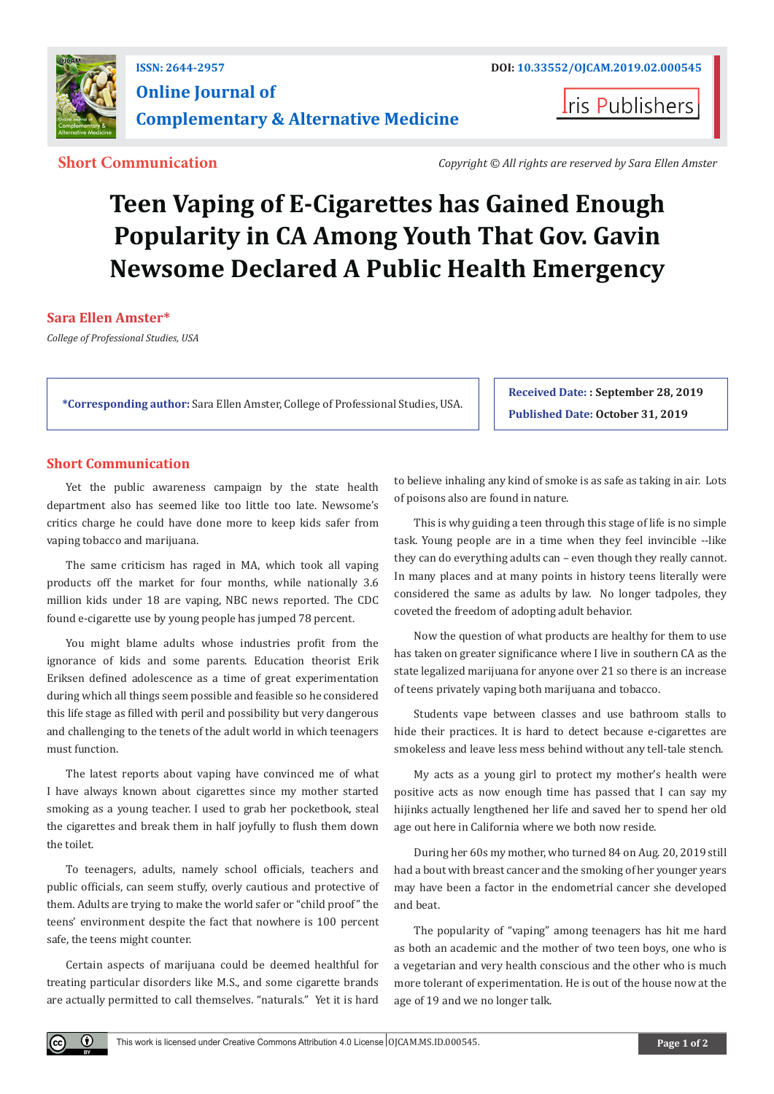

**Iris Publishers** 

**Short Communication** *Copyright © All rights are reserved by Sara Ellen Amster*

# **Teen Vaping of E-Cigarettes has Gained Enough Popularity in CA Among Youth That Gov. Gavin Newsome Declared A Public Health Emergency**

#### **Sara Ellen Amster\***

*College of Professional Studies, USA*

**\*Corresponding author:** Sara Ellen Amster, College of Professional Studies, USA.

**Received Date: : September 28, 2019 Published Date: October 31, 2019**

#### **Short Communication**

Yet the public awareness campaign by the state health department also has seemed like too little too late. Newsome's critics charge he could have done more to keep kids safer from vaping tobacco and marijuana.

The same criticism has raged in MA, which took all vaping products off the market for four months, while nationally 3.6 million kids under 18 are vaping, NBC news reported. The CDC found e-cigarette use by young people has jumped 78 percent.

You might blame adults whose industries profit from the ignorance of kids and some parents. Education theorist Erik Eriksen defined adolescence as a time of great experimentation during which all things seem possible and feasible so he considered this life stage as filled with peril and possibility but very dangerous and challenging to the tenets of the adult world in which teenagers must function.

The latest reports about vaping have convinced me of what I have always known about cigarettes since my mother started smoking as a young teacher. I used to grab her pocketbook, steal the cigarettes and break them in half joyfully to flush them down the toilet.

To teenagers, adults, namely school officials, teachers and public officials, can seem stuffy, overly cautious and protective of them. Adults are trying to make the world safer or "child proof" the teens' environment despite the fact that nowhere is 100 percent safe, the teens might counter.

Certain aspects of marijuana could be deemed healthful for treating particular disorders like M.S., and some cigarette brands are actually permitted to call themselves. "naturals." Yet it is hard

to believe inhaling any kind of smoke is as safe as taking in air. Lots of poisons also are found in nature.

This is why guiding a teen through this stage of life is no simple task. Young people are in a time when they feel invincible --like they can do everything adults can – even though they really cannot. In many places and at many points in history teens literally were considered the same as adults by law. No longer tadpoles, they coveted the freedom of adopting adult behavior.

Now the question of what products are healthy for them to use has taken on greater significance where I live in southern CA as the state legalized marijuana for anyone over 21 so there is an increase of teens privately vaping both marijuana and tobacco.

Students vape between classes and use bathroom stalls to hide their practices. It is hard to detect because e-cigarettes are smokeless and leave less mess behind without any tell-tale stench.

My acts as a young girl to protect my mother's health were positive acts as now enough time has passed that I can say my hijinks actually lengthened her life and saved her to spend her old age out here in California where we both now reside.

During her 60s my mother, who turned 84 on Aug. 20, 2019 still had a bout with breast cancer and the smoking of her younger years may have been a factor in the endometrial cancer she developed and beat.

The popularity of "vaping" among teenagers has hit me hard as both an academic and the mother of two teen boys, one who is a vegetarian and very health conscious and the other who is much more tolerant of experimentation. He is out of the house now at the age of 19 and we no longer talk.